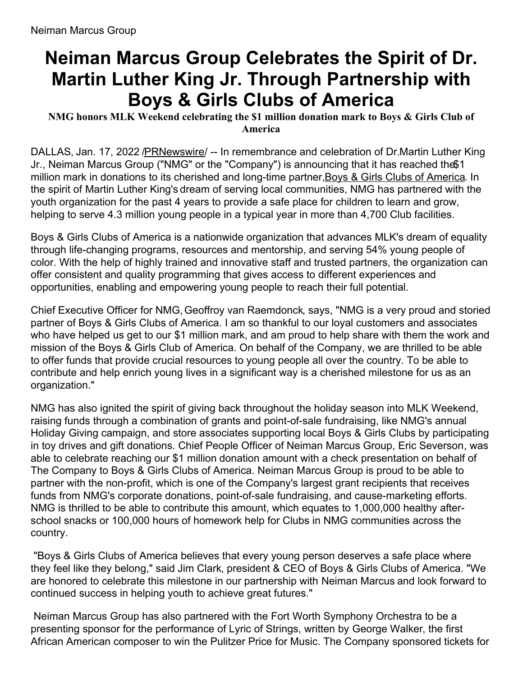## **Neiman Marcus Group Celebrates the Spirit of Dr. Martin Luther King Jr. Through Partnership with Boys & Girls Clubs of America**

## **NMG honors MLK Weekend celebrating the \$1 million donation mark to Boys & Girls Club of America**

DALLAS, Jan. 17, 2022 [/PRNewswire](http://www.prnewswire.com/)/ -- In remembrance and celebration of Dr.Martin Luther King Jr., Neiman Marcus Group ("NMG" or the "Company") is announcing that it has reached the\$1 million mark in donations to its cherished and long-time partner, Boys & Girls Clubs of [America](https://c212.net/c/link/?t=0&l=en&o=3414516-1&h=2627745019&u=https%3A%2F%2Fbgca.org%2Fabout-us%2Four-partners%2Fneiman-marcus&a=Boys+%26+Girls+Clubs+of+America). In the spirit of Martin Luther King's dream of serving local communities, NMG has partnered with the youth organization for the past 4 years to provide a safe place for children to learn and grow, helping to serve 4.3 million young people in a typical year in more than 4,700 Club facilities.

Boys & Girls Clubs of America is a nationwide organization that advances MLK's dream of equality through life-changing programs, resources and mentorship, and serving 54% young people of color. With the help of highly trained and innovative staff and trusted partners, the organization can offer consistent and quality programming that gives access to different experiences and opportunities, enabling and empowering young people to reach their full potential.

Chief Executive Officer for NMG,Geoffroy van Raemdonck, says, "NMG is a very proud and storied partner of Boys & Girls Clubs of America. I am so thankful to our loyal customers and associates who have helped us get to our \$1 million mark, and am proud to help share with them the work and mission of the Boys & Girls Club of America. On behalf of the Company, we are thrilled to be able to offer funds that provide crucial resources to young people all over the country. To be able to contribute and help enrich young lives in a significant way is a cherished milestone for us as an organization."

NMG has also ignited the spirit of giving back throughout the holiday season into MLK Weekend, raising funds through a combination of grants and point-of-sale fundraising, like NMG's annual Holiday Giving campaign, and store associates supporting local Boys & Girls Clubs by participating in toy drives and gift donations. Chief People Officer of Neiman Marcus Group, Eric Severson, was able to celebrate reaching our \$1 million donation amount with a check presentation on behalf of The Company to Boys & Girls Clubs of America. Neiman Marcus Group is proud to be able to partner with the non-profit, which is one of the Company's largest grant recipients that receives funds from NMG's corporate donations, point-of-sale fundraising, and cause-marketing efforts. NMG is thrilled to be able to contribute this amount, which equates to 1,000,000 healthy afterschool snacks or 100,000 hours of homework help for Clubs in NMG communities across the country.

"Boys & Girls Clubs of America believes that every young person deserves a safe place where they feel like they belong," said Jim Clark, president & CEO of Boys & Girls Clubs of America. "We are honored to celebrate this milestone in our partnership with Neiman Marcus and look forward to continued success in helping youth to achieve great futures."

Neiman Marcus Group has also partnered with the Fort Worth Symphony Orchestra to be a presenting sponsor for the performance of Lyric of Strings, written by George Walker, the first African American composer to win the Pulitzer Price for Music. The Company sponsored tickets for